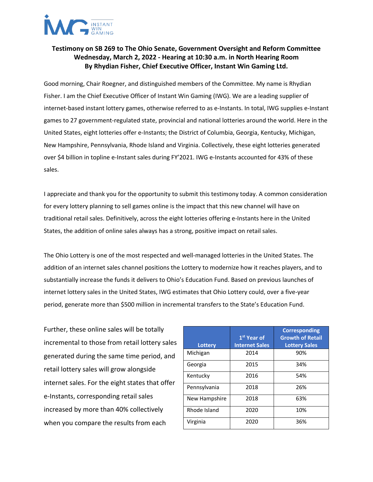

## **Testimony on SB 269 to The Ohio Senate, Government Oversight and Reform Committee Wednesday, March 2, 2022 - Hearing at 10:30 a.m. in North Hearing Room By Rhydian Fisher, Chief Executive Officer, Instant Win Gaming Ltd.**

Good morning, Chair Roegner, and distinguished members of the Committee. My name is Rhydian Fisher. I am the Chief Executive Officer of Instant Win Gaming (IWG). We are a leading supplier of internet-based instant lottery games, otherwise referred to as e-Instants. In total, IWG supplies e-Instant games to 27 government-regulated state, provincial and national lotteries around the world. Here in the United States, eight lotteries offer e-Instants; the District of Columbia, Georgia, Kentucky, Michigan, New Hampshire, Pennsylvania, Rhode Island and Virginia. Collectively, these eight lotteries generated over \$4 billion in topline e-Instant sales during FY'2021. IWG e-Instants accounted for 43% of these sales.

I appreciate and thank you for the opportunity to submit this testimony today. A common consideration for every lottery planning to sell games online is the impact that this new channel will have on traditional retail sales. Definitively, across the eight lotteries offering e-Instants here in the United States, the addition of online sales always has a strong, positive impact on retail sales.

The Ohio Lottery is one of the most respected and well-managed lotteries in the United States. The addition of an internet sales channel positions the Lottery to modernize how it reaches players, and to substantially increase the funds it delivers to Ohio's Education Fund. Based on previous launches of internet lottery sales in the United States, IWG estimates that Ohio Lottery could, over a five-year period, generate more than \$500 million in incremental transfers to the State's Education Fund.

Further, these online sales will be totally incremental to those from retail lottery sales generated during the same time period, and retail lottery sales will grow alongside internet sales. For the eight states that offer e-Instants, corresponding retail sales increased by more than 40% collectively when you compare the results from each

|               | 1 <sup>st</sup> Year of | <b>Corresponding</b><br><b>Growth of Retail</b> |
|---------------|-------------------------|-------------------------------------------------|
| Lottery       | <b>Internet Sales</b>   | <b>Lottery Sales</b>                            |
| Michigan      | 2014                    | 90%                                             |
| Georgia       | 2015                    | 34%                                             |
| Kentucky      | 2016                    | 54%                                             |
| Pennsylvania  | 2018                    | 26%                                             |
| New Hampshire | 2018                    | 63%                                             |
| Rhode Island  | 2020                    | 10%                                             |
| Virginia      | 2020                    | 36%                                             |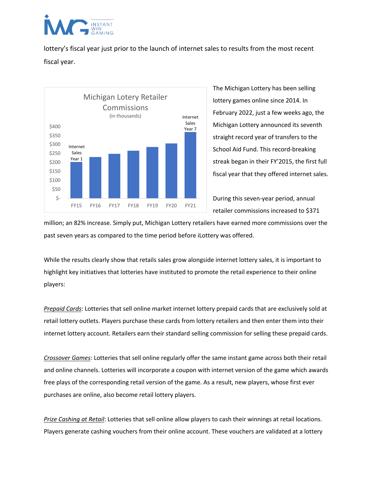

lottery's fiscal year just prior to the launch of internet sales to results from the most recent fiscal year.



The Michigan Lottery has been selling lottery games online since 2014. In February 2022, just a few weeks ago, the Michigan Lottery announced its seventh straight record year of transfers to the School Aid Fund. This record-breaking streak began in their FY'2015, the first full fiscal year that they offered internet sales.

During this seven-year period, annual retailer commissions increased to \$371

million; an 82% increase. Simply put, Michigan Lottery retailers have earned more commissions over the past seven years as compared to the time period before iLottery was offered.

While the results clearly show that retails sales grow alongside internet lottery sales, it is important to highlight key initiatives that lotteries have instituted to promote the retail experience to their online players:

*Prepaid Cards*: Lotteries that sell online market internet lottery prepaid cards that are exclusively sold at retail lottery outlets. Players purchase these cards from lottery retailers and then enter them into their internet lottery account. Retailers earn their standard selling commission for selling these prepaid cards.

*Crossover Games*: Lotteries that sell online regularly offer the same instant game across both their retail and online channels. Lotteries will incorporate a coupon with internet version of the game which awards free plays of the corresponding retail version of the game. As a result, new players, whose first ever purchases are online, also become retail lottery players.

*Prize Cashing at Retail*: Lotteries that sell online allow players to cash their winnings at retail locations. Players generate cashing vouchers from their online account. These vouchers are validated at a lottery